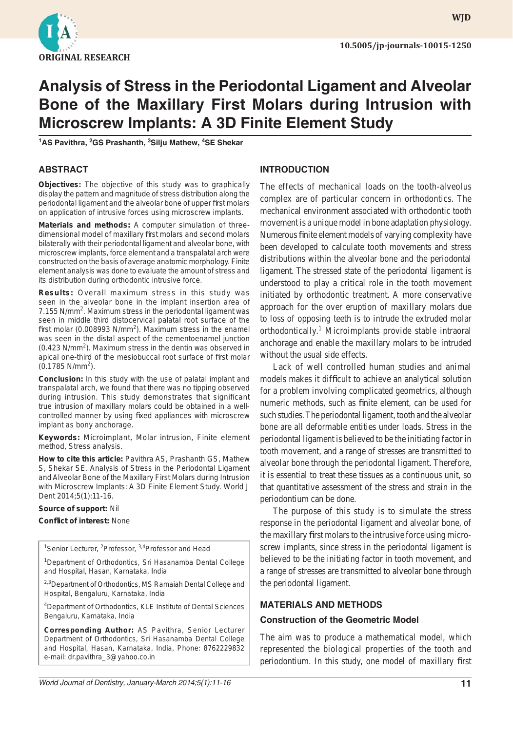

# **Analysis of Stress in the Periodontal Ligament and Alveolar Bone of the Maxillary First Molars during Intrusion with Microscrew Implants: A 3D Finite Element Study**

**1 AS Pavithra, 2 GS Prashanth, 3 Silju Mathew, 4 SE Shekar**

## **ABSTRACT**

**Objectives:** The objective of this study was to graphically display the pattern and magnitude of stress distribution along the periodontal ligament and the alveolar bone of upper first molars on application of intrusive forces using microscrew implants.

**Materials and methods:** A computer simulation of threedimensional model of maxillary first molars and second molars bilaterally with their periodontal ligament and alveolar bone, with microscrew implants, force element and a transpalatal arch were constructed on the basis of average anatomic morphology. Finite element analysis was done to evaluate the amount of stress and its distribution during orthodontic intrusive force.

**Results:** Overall maximum stress in this study was seen in the alveolar bone in the implant insertion area of 7.155 N/mm<sup>2</sup>. Maximum stress in the periodontal ligament was seen in middle third distocervical palatal root surface of the first molar (0.008993 N/mm<sup>2</sup>). Maximum stress in the enamel was seen in the distal aspect of the cementoenamel junction  $(0.423 \text{ N/mm}^2)$ . Maximum stress in the dentin was observed in apical one-third of the mesiobuccal root surface of first molar  $(0.1785 \text{ N/mm}^2).$ 

**Conclusion:** In this study with the use of palatal implant and transpalatal arch, we found that there was no tipping observed during intrusion. This study demonstrates that significant true intrusion of maxillary molars could be obtained in a wellcontrolled manner by using fixed appliances with microscrew implant as bony anchorage.

**Keywords:** Microimplant, Molar intrusion, Finite element method, Stress analysis.

**How to cite this article:** Pavithra AS, Prashanth GS, Mathew S, Shekar SE. Analysis of Stress in the Periodontal Ligament and Alveolar Bone of the Maxillary First Molars during Intrusion with Microscrew Implants: A 3D Finite Element Study. World J Dent 2014;5(1):11-16.

**Source of support:** Nil

#### **Confl ict of interest:** None

<sup>1</sup>Senior Lecturer, <sup>2</sup>Professor, <sup>3,4</sup>Professor and Head

<sup>1</sup>Department of Orthodontics, Sri Hasanamba Dental College and Hospital, Hasan, Karnataka, India

<sup>2,3</sup>Department of Orthodontics, MS Ramaiah Dental College and Hospital, Bengaluru, Karnataka, India

4 Department of Orthodontics, KLE Institute of Dental Sciences Bengaluru, Karnataka, India

**Corresponding Author:** AS Pavithra, Senior Lecturer Department of Orthodontics, Sri Hasanamba Dental College and Hospital, Hasan, Karnataka, India, Phone: 8762229832 e-mail: dr.pavithra\_3@yahoo.co.in

## **INTRODUCTION**

The effects of mechanical loads on the tooth-alveolus complex are of particular concern in orthodontics. The mechanical environment associated with orthodontic tooth movement is a unique model in bone adaptation physiology. Numerous finite element models of varying complexity have been developed to calculate tooth movements and stress distributions within the alveolar bone and the periodontal ligament. The stressed state of the periodontal ligament is understood to play a critical role in the tooth movement initiated by orthodontic treatment. A more conservative approach for the over eruption of maxillary molars due to loss of opposing teeth is to intrude the extruded molar orthodontically.<sup>1</sup> Microimplants provide stable intraoral anchorage and enable the maxillary molars to be intruded without the usual side effects.

Lack of well controlled human studies and animal models makes it difficult to achieve an analytical solution for a problem involving complicated geometrics, although numeric methods, such as finite element, can be used for such studies. The periodontal ligament, tooth and the alveolar bone are all deformable entities under loads. Stress in the periodontal ligament is believed to be the initiating factor in tooth movement, and a range of stresses are transmitted to alveolar bone through the periodontal ligament. Therefore, it is essential to treat these tissues as a continuous unit, so that quantitative assessment of the stress and strain in the periodontium can be done.

The purpose of this study is to simulate the stress response in the periodontal ligament and alveolar bone, of the maxillary first molars to the intrusive force using microscrew implants, since stress in the periodontal ligament is believed to be the initiating factor in tooth movement, and a range of stresses are transmitted to alveolar bone through the periodontal ligament.

## **MATERIALS AND METHODS**

## **Construction of the Geometric Model**

The aim was to produce a mathematical model, which represented the biological properties of the tooth and periodontium. In this study, one model of maxillary first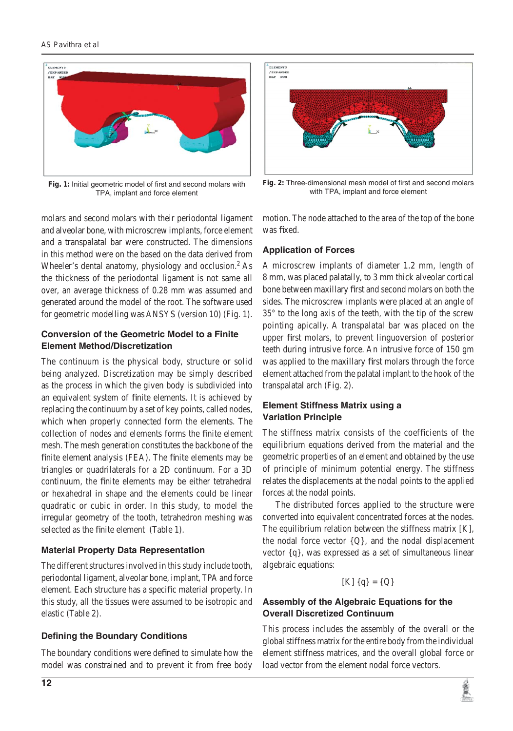#### *AS Pavithra et al*



Fig. 1: Initial geometric model of first and second molars with TPA, implant and force element

molars and second molars with their periodontal ligament and alveolar bone, with microscrew implants, force element and a transpalatal bar were constructed. The dimensions in this method were on the based on the data derived from Wheeler's dental anatomy, physiology and occlusion.<sup>2</sup> As the thickness of the periodontal ligament is not same all over, an average thickness of 0.28 mm was assumed and generated around the model of the root. The software used for geometric modelling was ANSYS (version 10) (Fig. 1).

## **Conversion of the Geometric Model to a Finite Element Method/Discretization**

The continuum is the physical body, structure or solid being analyzed. Discretization may be simply described as the process in which the given body is subdivided into an equivalent system of finite elements. It is achieved by replacing the continuum by a set of key points, called nodes, which when properly connected form the elements. The collection of nodes and elements forms the finite element mesh. The mesh generation constitutes the backbone of the finite element analysis (FEA). The finite elements may be triangles or quadrilaterals for a 2D continuum. For a 3D continuum, the finite elements may be either tetrahedral or hexahedral in shape and the elements could be linear quadratic or cubic in order. In this study, to model the irregular geometry of the tooth, tetrahedron meshing was selected as the finite element (Table 1).

## **Material Property Data Representation**

The different structures involved in this study include tooth, periodontal ligament, alveolar bone, implant, TPA and force element. Each structure has a specific material property. In this study, all the tissues were assumed to be isotropic and elastic (Table 2).

## **Defining the Boundary Conditions**

The boundary conditions were defined to simulate how the model was constrained and to prevent it from free body



**Fig. 2:** Three-dimensional mesh model of first and second molars with TPA, implant and force element

motion. The node attached to the area of the top of the bone was fixed.

## **Application of Forces**

A microscrew implants of diameter 1.2 mm, length of 8 mm, was placed palatally, to 3 mm thick alveolar cortical bone between maxillary first and second molars on both the sides. The microscrew implants were placed at an angle of 35° to the long axis of the teeth, with the tip of the screw pointing apically. A transpalatal bar was placed on the upper first molars, to prevent linguoversion of posterior teeth during intrusive force. An intrusive force of 150 gm was applied to the maxillary first molars through the force element attached from the palatal implant to the hook of the transpalatal arch (Fig. 2).

## **Element Stiffness Matrix using a Variation Principle**

The stiffness matrix consists of the coefficients of the equilibrium equations derived from the material and the geometric properties of an element and obtained by the use of principle of minimum potential energy. The stiffness relates the displacements at the nodal points to the applied forces at the nodal points.

The distributed forces applied to the structure were converted into equivalent concentrated forces at the nodes. The equilibrium relation between the stiffness matrix [K], the nodal force vector  ${Q}$ , and the nodal displacement vector {q}, was expressed as a set of simultaneous linear algebraic equations:

## $[K]$  {q} = {Q}

## **Assembly of the Algebraic Equations for the Overall Discretized Continuum**

This process includes the assembly of the overall or the global stiffness matrix for the entire body from the individual element stiffness matrices, and the overall global force or load vector from the element nodal force vectors.

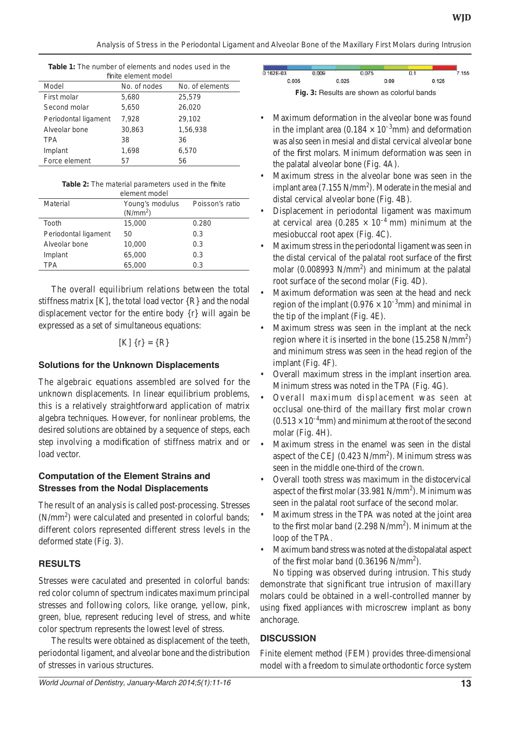*Analysis of Stress in the Periodontal Ligament and Alveolar Bone of the Maxillary First Molars during Intrusion*

| <b>Table 1:</b> The number of elements and nodes used in the |  |
|--------------------------------------------------------------|--|
| finite element mondel                                        |  |

| illille element model |              |                 |
|-----------------------|--------------|-----------------|
| Model                 | No. of nodes | No. of elements |
| First molar           | 5,680        | 25,579          |
| Second molar          | 5,650        | 26,020          |
| Periodontal ligament  | 7.928        | 29,102          |
| Alveolar bone         | 30,863       | 1,56,938        |
| <b>TPA</b>            | 38           | 36              |
| Implant               | 1,698        | 6,570           |
| Force element         | 57           | 56              |

**Table 2:** The material parameters used in the finite element model

| Material             | Young's modulus<br>$(N/mm^2)$ | Poisson's ratio |
|----------------------|-------------------------------|-----------------|
| Tooth                | 15,000                        | 0.280           |
| Periodontal ligament | 50                            | 0.3             |
| Alveolar bone        | 10,000                        | 0.3             |
| Implant              | 65,000                        | 0.3             |
| TPA                  | 65,000                        | 0.3             |

The overall equilibrium relations between the total stiffness matrix  $[K]$ , the total load vector  $\{R\}$  and the nodal displacement vector for the entire body {r} will again be expressed as a set of simultaneous equations:

 $[K]$  {r} = {R}

## **Solutions for the Unknown Displacements**

The algebraic equations assembled are solved for the unknown displacements. In linear equilibrium problems, this is a relatively straightforward application of matrix algebra techniques. However, for nonlinear problems, the desired solutions are obtained by a sequence of steps, each step involving a modification of stiffness matrix and or load vector.

## **Computation of the Element Strains and Stresses from the Nodal Displacements**

The result of an analysis is called post-processing. Stresses (N/mm<sup>2</sup>) were calculated and presented in colorful bands; different colors represented different stress levels in the deformed state (Fig. 3).

## **RESULTS**

Stresses were caculated and presented in colorful bands: red color column of spectrum indicates maximum principal stresses and following colors, like orange, yellow, pink, green, blue, represent reducing level of stress, and white color spectrum represents the lowest level of stress.

The results were obtained as displacement of the teeth, periodontal ligament, and alveolar bone and the distribution of stresses in various structures.



- Maximum deformation in the alveolar bone was found in the implant area  $(0.184 \times 10^{-3}$ mm) and deformation was also seen in mesial and distal cervical alveolar bone of the first molars. Minimum deformation was seen in the palatal alveolar bone (Fig. 4A).
- Maximum stress in the alveolar bone was seen in the implant area  $(7.155 \text{ N/mm}^2)$ . Moderate in the mesial and distal cervical alveolar bone (Fig. 4B).
- Displacement in periodontal ligament was maximum at cervical area  $(0.285 \times 10^{-4} \text{ mm})$  minimum at the mesiobuccal root apex (Fig. 4C).
- Maximum stress in the periodontal ligament was seen in the distal cervical of the palatal root surface of the first molar  $(0.008993 \text{ N/mm}^2)$  and minimum at the palatal root surface of the second molar (Fig. 4D).
- Maximum deformation was seen at the head and neck region of the implant  $(0.976 \times 10^{-3}$ mm) and minimal in the tip of the implant (Fig. 4E).
- Maximum stress was seen in the implant at the neck region where it is inserted in the bone  $(15.258 \text{ N/mm}^2)$ and minimum stress was seen in the head region of the implant (Fig. 4F).
- Overall maximum stress in the implant insertion area. Minimum stress was noted in the TPA (Fig. 4G).
- Overall maximum displacement was seen at occlusal one-third of the maillary first molar crown  $(0.513 \times 10^{-4}$ mm) and minimum at the root of the second molar (Fig. 4H).
- Maximum stress in the enamel was seen in the distal aspect of the CEJ  $(0.423 \text{ N/mm}^2)$ . Minimum stress was seen in the middle one-third of the crown.
- Overall tooth stress was maximum in the distocervical aspect of the first molar  $(33.981 \text{ N/mm}^2)$ . Minimum was seen in the palatal root surface of the second molar.
- Maximum stress in the TPA was noted at the joint area to the first molar band  $(2.298 \text{ N/mm}^2)$ . Minimum at the loop of the TPA.
- Maximum band stress was noted at the distopalatal aspect of the first molar band  $(0.36196 \text{ N/mm}^2)$ .

No tipping was observed during intrusion. This study demonstrate that significant true intrusion of maxillary molars could be obtained in a well-controlled manner by using fixed appliances with microscrew implant as bony anchorage.

## **DISCUSSION**

Finite element method (FEM) provides three-dimensional model with a freedom to simulate orthodontic force system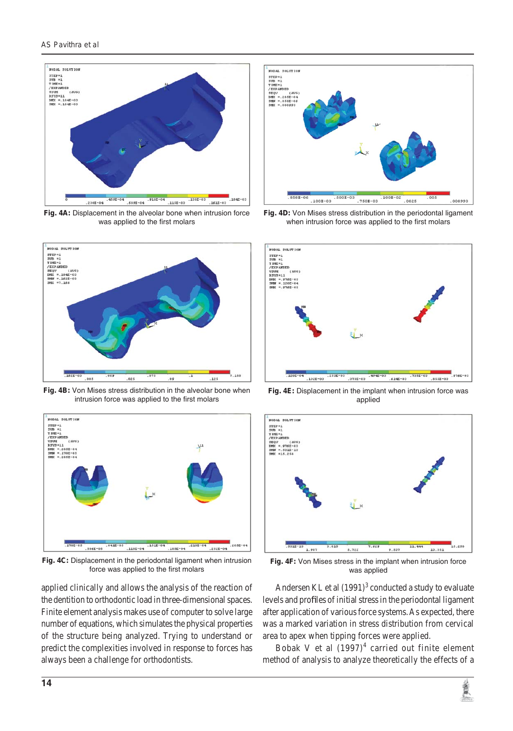## *AS Pavithra et al*



**Fig. 4A:** Displacement in the alveolar bone when intrusion force was applied to the first molars



**Fig. 4B:** Von Mises stress distribution in the alveolar bone when intrusion force was applied to the first molars



**Fig. 4C:** Displacement in the periodontal ligament when intrusion force was applied to the first molars

applied clinically and allows the analysis of the reaction of the dentition to orthodontic load in three-dimensional spaces. Finite element analysis makes use of computer to solve large number of equations, which simulates the physical properties of the structure being analyzed. Trying to understand or predict the complexities involved in response to forces has always been a challenge for orthodontists.



**Fig. 4D:** Von Mises stress distribution in the periodontal ligament when intrusion force was applied to the first molars



**Fig. 4E:** Displacement in the implant when intrusion force was applied



**Fig. 4F:** Von Mises stress in the implant when intrusion force was applied

Andersen KL et al  $(1991)^3$  conducted a study to evaluate levels and profiles of initial stress in the periodontal ligament after application of various force systems. As expected, there was a marked variation in stress distribution from cervical area to apex when tipping forces were applied.

Bobak V et al  $(1997)^4$  carried out finite element method of analysis to analyze theoretically the effects of a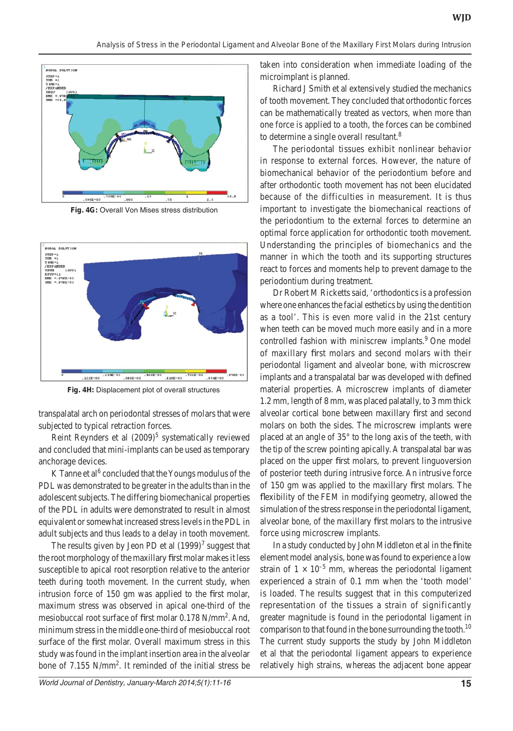

**Fig. 4G:** Overall Von Mises stress distribution



**Fig. 4H:** Displacement plot of overall structures

transpalatal arch on periodontal stresses of molars that were subjected to typical retraction forces.

Reint Reynders et al  $(2009)^5$  systematically reviewed and concluded that mini-implants can be used as temporary anchorage devices.

K Tanne et al<sup>6</sup> concluded that the Youngs modulus of the PDL was demonstrated to be greater in the adults than in the adolescent subjects. The differing biomechanical properties of the PDL in adults were demonstrated to result in almost equivalent or somewhat increased stress levels in the PDL in adult subjects and thus leads to a delay in tooth movement.

The results given by Jeon PD et al  $(1999)^7$  suggest that the root morphology of the maxillary first molar makes it less susceptible to apical root resorption relative to the anterior teeth during tooth movement. In the current study, when intrusion force of 150 gm was applied to the first molar, maximum stress was observed in apical one-third of the mesiobuccal root surface of first molar 0.178 N/mm<sup>2</sup>. And, minimum stress in the middle one-third of mesiobuccal root surface of the first molar. Overall maximum stress in this study was found in the implant insertion area in the alveolar bone of 7.155 N/mm<sup>2</sup>. It reminded of the initial stress be taken into consideration when immediate loading of the microimplant is planned.

Richard J Smith et al extensively studied the mechanics of tooth movement. They concluded that orthodontic forces can be mathematically treated as vectors, when more than one force is applied to a tooth, the forces can be combined to determine a single overall resultant.<sup>8</sup>

The periodontal tissues exhibit nonlinear behavior in response to external forces. However, the nature of biomechanical behavior of the periodontium before and after orthodontic tooth movement has not been elucidated because of the difficulties in measurement. It is thus important to investigate the biomechanical reactions of the periodontium to the external forces to determine an optimal force application for orthodontic tooth movement. Understanding the principles of biomechanics and the manner in which the tooth and its supporting structures react to forces and moments help to prevent damage to the periodontium during treatment.

Dr Robert M Ricketts said, 'orthodontics is a profession where one enhances the facial esthetics by using the dentition as a tool'. This is even more valid in the 21st century when teeth can be moved much more easily and in a more controlled fashion with miniscrew implants.<sup>9</sup> One model of maxillary first molars and second molars with their periodontal ligament and alveolar bone, with microscrew implants and a transpalatal bar was developed with defined material properties. A microscrew implants of diameter 1.2 mm, length of 8 mm, was placed palatally, to 3 mm thick alveolar cortical bone between maxillary first and second molars on both the sides. The microscrew implants were placed at an angle of 35° to the long axis of the teeth, with the tip of the screw pointing apically. A transpalatal bar was placed on the upper first molars, to prevent linguoversion of posterior teeth during intrusive force. An intrusive force of 150 gm was applied to the maxillary first molars. The flexibility of the FEM in modifying geometry, allowed the simulation of the stress response in the periodontal ligament, alveolar bone, of the maxillary first molars to the intrusive force using microscrew implants.

In a study conducted by John Middleton et al in the finite element model analysis, bone was found to experience a low strain of  $1 \times 10^{-5}$  mm, whereas the periodontal ligament experienced a strain of 0.1 mm when the 'tooth model' is loaded. The results suggest that in this computerized representation of the tissues a strain of significantly greater magnitude is found in the periodontal ligament in comparison to that found in the bone surrounding the tooth.<sup>10</sup> The current study supports the study by John Middleton et al that the periodontal ligament appears to experience relatively high strains, whereas the adjacent bone appear